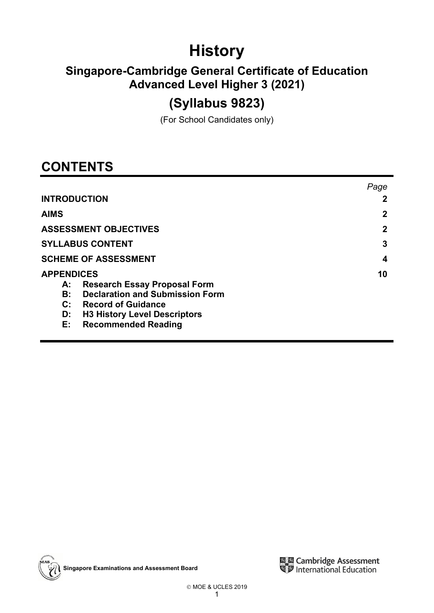# **History**

## **Singapore-Cambridge General Certificate of Education Advanced Level Higher 3 (2021)**

## **(Syllabus 9823)**

(For School Candidates only)

## **CONTENTS**

|                                                     | Page |
|-----------------------------------------------------|------|
| <b>INTRODUCTION</b>                                 |      |
| <b>AIMS</b>                                         | 2    |
| <b>ASSESSMENT OBJECTIVES</b>                        | 2    |
| <b>SYLLABUS CONTENT</b>                             | 3    |
| <b>SCHEME OF ASSESSMENT</b>                         | 4    |
| <b>APPENDICES</b>                                   | 10   |
| <b>Research Essay Proposal Form</b><br>А:           |      |
| <b>Declaration and Submission Form</b><br><b>B:</b> |      |
| C: Record of Guidance                               |      |
| <b>H3 History Level Descriptors</b><br>D:           |      |
| E:<br><b>Recommended Reading</b>                    |      |



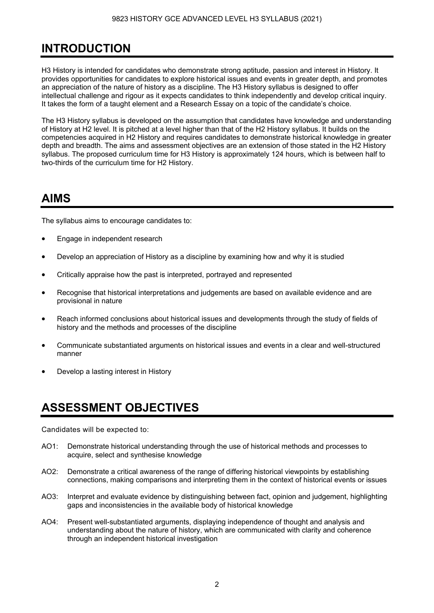## **INTRODUCTION**

H3 History is intended for candidates who demonstrate strong aptitude, passion and interest in History. It provides opportunities for candidates to explore historical issues and events in greater depth, and promotes an appreciation of the nature of history as a discipline. The H3 History syllabus is designed to offer intellectual challenge and rigour as it expects candidates to think independently and develop critical inquiry. It takes the form of a taught element and a Research Essay on a topic of the candidate's choice.

The H3 History syllabus is developed on the assumption that candidates have knowledge and understanding of History at H2 level. It is pitched at a level higher than that of the H2 History syllabus. It builds on the competencies acquired in H2 History and requires candidates to demonstrate historical knowledge in greater depth and breadth. The aims and assessment objectives are an extension of those stated in the H2 History syllabus. The proposed curriculum time for H3 History is approximately 124 hours, which is between half to two-thirds of the curriculum time for H2 History.

## **AIMS**

The syllabus aims to encourage candidates to:

- Engage in independent research
- Develop an appreciation of History as a discipline by examining how and why it is studied
- Critically appraise how the past is interpreted, portrayed and represented
- Recognise that historical interpretations and judgements are based on available evidence and are provisional in nature
- Reach informed conclusions about historical issues and developments through the study of fields of history and the methods and processes of the discipline
- Communicate substantiated arguments on historical issues and events in a clear and well-structured manner
- Develop a lasting interest in History

## **ASSESSMENT OBJECTIVES**

Candidates will be expected to:

- AO1: Demonstrate historical understanding through the use of historical methods and processes to acquire, select and synthesise knowledge
- AO2: Demonstrate a critical awareness of the range of differing historical viewpoints by establishing connections, making comparisons and interpreting them in the context of historical events or issues
- AO3: Interpret and evaluate evidence by distinguishing between fact, opinion and judgement, highlighting gaps and inconsistencies in the available body of historical knowledge
- AO4: Present well-substantiated arguments, displaying independence of thought and analysis and understanding about the nature of history, which are communicated with clarity and coherence through an independent historical investigation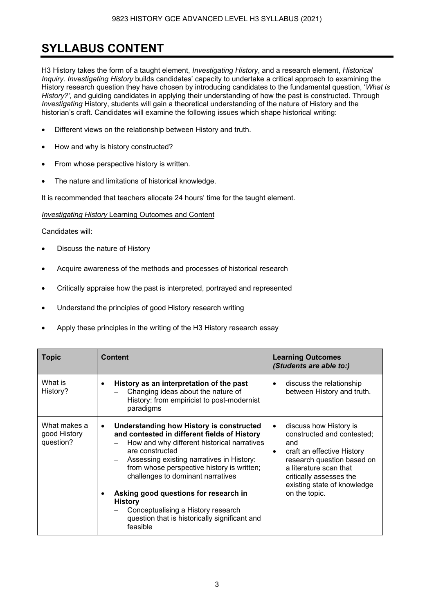## **SYLLABUS CONTENT**

H3 History takes the form of a taught element, *Investigating History*, and a research element, *Historical Inquiry*. *Investigating History* builds candidates' capacity to undertake a critical approach to examining the History research question they have chosen by introducing candidates to the fundamental question, '*What is History?',* and guiding candidates in applying their understanding of how the past is constructed. Through *Investigating* History, students will gain a theoretical understanding of the nature of History and the historian's craft. Candidates will examine the following issues which shape historical writing:

- Different views on the relationship between History and truth.
- How and why is history constructed?
- From whose perspective history is written.
- The nature and limitations of historical knowledge.

It is recommended that teachers allocate 24 hours' time for the taught element.

*Investigating History* Learning Outcomes and Content

Candidates will:

- Discuss the nature of History
- Acquire awareness of the methods and processes of historical research
- Critically appraise how the past is interpreted, portrayed and represented
- Understand the principles of good History research writing
- Apply these principles in the writing of the H3 History research essay

| <b>Topic</b>                              | <b>Content</b>                                                                                                                                                                                                                                                                                                                                                                                                                                                               | <b>Learning Outcomes</b><br>(Students are able to:)                                                                                                                                                                                                    |
|-------------------------------------------|------------------------------------------------------------------------------------------------------------------------------------------------------------------------------------------------------------------------------------------------------------------------------------------------------------------------------------------------------------------------------------------------------------------------------------------------------------------------------|--------------------------------------------------------------------------------------------------------------------------------------------------------------------------------------------------------------------------------------------------------|
| What is<br>History?                       | History as an interpretation of the past<br>Changing ideas about the nature of<br>History: from empiricist to post-modernist<br>paradigms                                                                                                                                                                                                                                                                                                                                    | discuss the relationship<br>$\bullet$<br>between History and truth.                                                                                                                                                                                    |
| What makes a<br>good History<br>question? | <b>Understanding how History is constructed</b><br>$\bullet$<br>and contested in different fields of History<br>How and why different historical narratives<br>are constructed<br>Assessing existing narratives in History:<br>from whose perspective history is written;<br>challenges to dominant narratives<br>Asking good questions for research in<br><b>History</b><br>Conceptualising a History research<br>question that is historically significant and<br>feasible | discuss how History is<br>$\bullet$<br>constructed and contested;<br>and<br>craft an effective History<br>$\bullet$<br>research question based on<br>a literature scan that<br>critically assesses the<br>existing state of knowledge<br>on the topic. |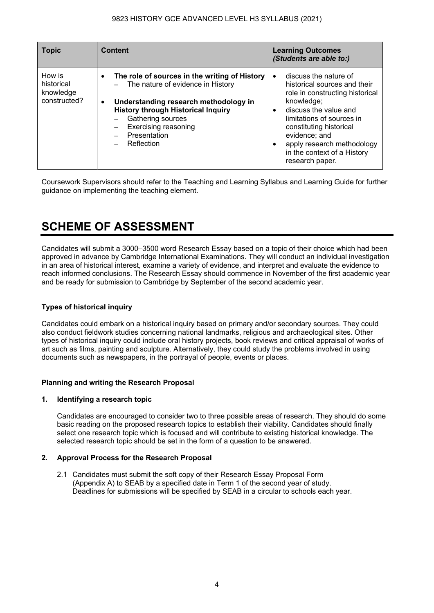| <b>Topic</b>                                      | <b>Content</b>                                                                                                                                                                                                                                                                       | <b>Learning Outcomes</b><br>(Students are able to:)                                                                                                                                                                                                                                                                             |
|---------------------------------------------------|--------------------------------------------------------------------------------------------------------------------------------------------------------------------------------------------------------------------------------------------------------------------------------------|---------------------------------------------------------------------------------------------------------------------------------------------------------------------------------------------------------------------------------------------------------------------------------------------------------------------------------|
| How is<br>historical<br>knowledge<br>constructed? | The role of sources in the writing of History<br>$\bullet$<br>The nature of evidence in History<br>Understanding research methodology in<br>$\bullet$<br><b>History through Historical Inquiry</b><br>Gathering sources<br><b>Exercising reasoning</b><br>Presentation<br>Reflection | discuss the nature of<br>$\bullet$<br>historical sources and their<br>role in constructing historical<br>knowledge;<br>discuss the value and<br>$\bullet$<br>limitations of sources in<br>constituting historical<br>evidence; and<br>apply research methodology<br>$\bullet$<br>in the context of a History<br>research paper. |

Coursework Supervisors should refer to the Teaching and Learning Syllabus and Learning Guide for further guidance on implementing the teaching element.

## **SCHEME OF ASSESSMENT**

Candidates will submit a 3000–3500 word Research Essay based on a topic of their choice which had been approved in advance by Cambridge International Examinations. They will conduct an individual investigation in an area of historical interest, examine a variety of evidence, and interpret and evaluate the evidence to reach informed conclusions. The Research Essay should commence in November of the first academic year and be ready for submission to Cambridge by September of the second academic year.

## **Types of historical inquiry**

Candidates could embark on a historical inquiry based on primary and/or secondary sources. They could also conduct fieldwork studies concerning national landmarks, religious and archaeological sites. Other types of historical inquiry could include oral history projects, book reviews and critical appraisal of works of art such as films, painting and sculpture. Alternatively, they could study the problems involved in using documents such as newspapers, in the portrayal of people, events or places.

## **Planning and writing the Research Proposal**

## **1. Identifying a research topic**

Candidates are encouraged to consider two to three possible areas of research. They should do some basic reading on the proposed research topics to establish their viability. Candidates should finally select one research topic which is focused and will contribute to existing historical knowledge. The selected research topic should be set in the form of a question to be answered.

## **2. Approval Process for the Research Proposal**

2.1 Candidates must submit the soft copy of their Research Essay Proposal Form (Appendix A) to SEAB by a specified date in Term 1 of the second year of study. Deadlines for submissions will be specified by SEAB in a circular to schools each year.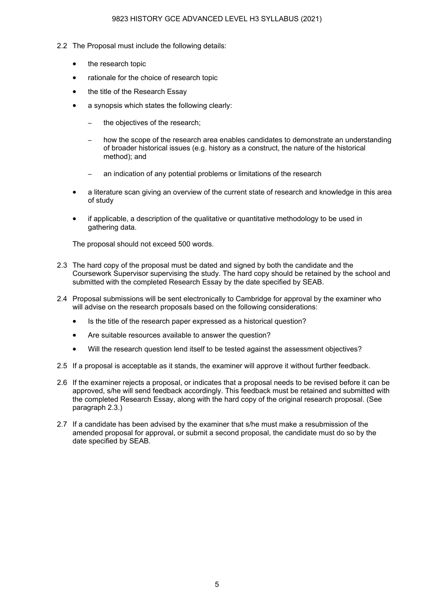- 2.2 The Proposal must include the following details:
	- the research topic
	- rationale for the choice of research topic
	- the title of the Research Essay
	- a synopsis which states the following clearly:
		- the objectives of the research;
		- how the scope of the research area enables candidates to demonstrate an understanding of broader historical issues (e.g. history as a construct, the nature of the historical method); and
		- an indication of any potential problems or limitations of the research
	- a literature scan giving an overview of the current state of research and knowledge in this area of study
	- if applicable, a description of the qualitative or quantitative methodology to be used in gathering data.

The proposal should not exceed 500 words.

- 2.3 The hard copy of the proposal must be dated and signed by both the candidate and the Coursework Supervisor supervising the study. The hard copy should be retained by the school and submitted with the completed Research Essay by the date specified by SEAB.
- 2.4 Proposal submissions will be sent electronically to Cambridge for approval by the examiner who will advise on the research proposals based on the following considerations:
	- Is the title of the research paper expressed as a historical question?
	- Are suitable resources available to answer the question?
	- Will the research question lend itself to be tested against the assessment objectives?
- 2.5 If a proposal is acceptable as it stands, the examiner will approve it without further feedback.
- 2.6 If the examiner rejects a proposal, or indicates that a proposal needs to be revised before it can be approved, s/he will send feedback accordingly. This feedback must be retained and submitted with the completed Research Essay, along with the hard copy of the original research proposal. (See paragraph 2.3.)
- 2.7 If a candidate has been advised by the examiner that s/he must make a resubmission of the amended proposal for approval, or submit a second proposal, the candidate must do so by the date specified by SEAB.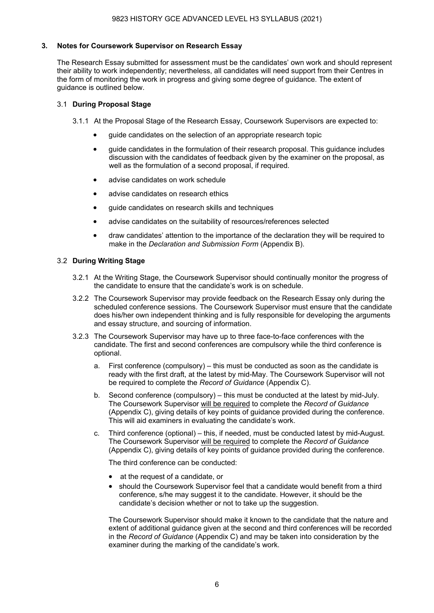## **3. Notes for Coursework Supervisor on Research Essay**

The Research Essay submitted for assessment must be the candidates' own work and should represent their ability to work independently; nevertheless, all candidates will need support from their Centres in the form of monitoring the work in progress and giving some degree of guidance. The extent of guidance is outlined below.

### 3.1 **During Proposal Stage**

3.1.1 At the Proposal Stage of the Research Essay, Coursework Supervisors are expected to:

- guide candidates on the selection of an appropriate research topic
- guide candidates in the formulation of their research proposal. This guidance includes discussion with the candidates of feedback given by the examiner on the proposal, as well as the formulation of a second proposal, if required.
- advise candidates on work schedule
- advise candidates on research ethics
- guide candidates on research skills and techniques
- advise candidates on the suitability of resources/references selected
- draw candidates' attention to the importance of the declaration they will be required to make in the *Declaration and Submission Form* (Appendix B).

#### 3.2 **During Writing Stage**

- 3.2.1 At the Writing Stage, the Coursework Supervisor should continually monitor the progress of the candidate to ensure that the candidate's work is on schedule.
- 3.2.2 The Coursework Supervisor may provide feedback on the Research Essay only during the scheduled conference sessions. The Coursework Supervisor must ensure that the candidate does his/her own independent thinking and is fully responsible for developing the arguments and essay structure, and sourcing of information.
- 3.2.3 The Coursework Supervisor may have up to three face-to-face conferences with the candidate. The first and second conferences are compulsory while the third conference is optional.
	- a. First conference (compulsory) this must be conducted as soon as the candidate is ready with the first draft, at the latest by mid-May. The Coursework Supervisor will not be required to complete the *Record of Guidance* (Appendix C).
	- b. Second conference (compulsory) this must be conducted at the latest by mid-July. The Coursework Supervisor will be required to complete the *Record of Guidance* (Appendix C), giving details of key points of guidance provided during the conference. This will aid examiners in evaluating the candidate's work.
	- c. Third conference (optional) this, if needed, must be conducted latest by mid-August. The Coursework Supervisor will be required to complete the *Record of Guidance* (Appendix C), giving details of key points of guidance provided during the conference.

The third conference can be conducted:

- at the request of a candidate, or
- should the Coursework Supervisor feel that a candidate would benefit from a third conference, s/he may suggest it to the candidate. However, it should be the candidate's decision whether or not to take up the suggestion.

The Coursework Supervisor should make it known to the candidate that the nature and extent of additional guidance given at the second and third conferences will be recorded in the *Record of Guidance* (Appendix C) and may be taken into consideration by the examiner during the marking of the candidate's work.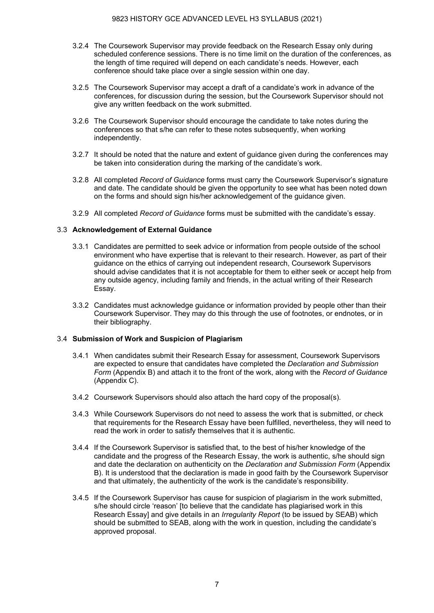- 3.2.4 The Coursework Supervisor may provide feedback on the Research Essay only during scheduled conference sessions. There is no time limit on the duration of the conferences, as the length of time required will depend on each candidate's needs. However, each conference should take place over a single session within one day.
- 3.2.5 The Coursework Supervisor may accept a draft of a candidate's work in advance of the conferences, for discussion during the session, but the Coursework Supervisor should not give any written feedback on the work submitted.
- 3.2.6 The Coursework Supervisor should encourage the candidate to take notes during the conferences so that s/he can refer to these notes subsequently, when working independently.
- 3.2.7 It should be noted that the nature and extent of guidance given during the conferences may be taken into consideration during the marking of the candidate's work.
- 3.2.8 All completed *Record of Guidance* forms must carry the Coursework Supervisor's signature and date. The candidate should be given the opportunity to see what has been noted down on the forms and should sign his/her acknowledgement of the guidance given.
- 3.2.9 All completed *Record of Guidance* forms must be submitted with the candidate's essay.

## 3.3 **Acknowledgement of External Guidance**

- 3.3.1 Candidates are permitted to seek advice or information from people outside of the school environment who have expertise that is relevant to their research. However, as part of their guidance on the ethics of carrying out independent research, Coursework Supervisors should advise candidates that it is not acceptable for them to either seek or accept help from any outside agency, including family and friends, in the actual writing of their Research Essay.
- 3.3.2 Candidates must acknowledge guidance or information provided by people other than their Coursework Supervisor. They may do this through the use of footnotes, or endnotes, or in their bibliography.

## 3.4 **Submission of Work and Suspicion of Plagiarism**

- 3.4.1 When candidates submit their Research Essay for assessment, Coursework Supervisors are expected to ensure that candidates have completed the *Declaration and Submission Form* (Appendix B) and attach it to the front of the work, along with the *Record of Guidance*  (Appendix C).
- 3.4.2 Coursework Supervisors should also attach the hard copy of the proposal(s).
- 3.4.3 While Coursework Supervisors do not need to assess the work that is submitted, or check that requirements for the Research Essay have been fulfilled, nevertheless, they will need to read the work in order to satisfy themselves that it is authentic.
- 3.4.4 If the Coursework Supervisor is satisfied that, to the best of his/her knowledge of the candidate and the progress of the Research Essay, the work is authentic, s/he should sign and date the declaration on authenticity on the *Declaration and Submission Form* (Appendix B). It is understood that the declaration is made in good faith by the Coursework Supervisor and that ultimately, the authenticity of the work is the candidate's responsibility.
- 3.4.5 If the Coursework Supervisor has cause for suspicion of plagiarism in the work submitted, s/he should circle 'reason' [to believe that the candidate has plagiarised work in this Research Essay] and give details in an *Irregularity Report* (to be issued by SEAB) which should be submitted to SEAB, along with the work in question, including the candidate's approved proposal.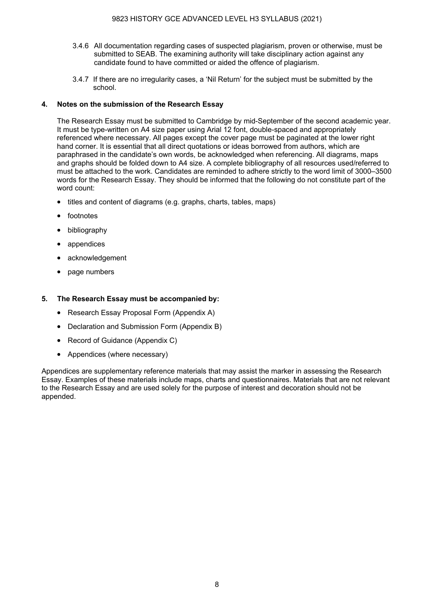- 3.4.6 All documentation regarding cases of suspected plagiarism, proven or otherwise, must be submitted to SEAB. The examining authority will take disciplinary action against any candidate found to have committed or aided the offence of plagiarism.
- 3.4.7 If there are no irregularity cases, a 'Nil Return' for the subject must be submitted by the school.

## **4. Notes on the submission of the Research Essay**

The Research Essay must be submitted to Cambridge by mid-September of the second academic year. It must be type-written on A4 size paper using Arial 12 font, double-spaced and appropriately referenced where necessary. All pages except the cover page must be paginated at the lower right hand corner. It is essential that all direct quotations or ideas borrowed from authors, which are paraphrased in the candidate's own words, be acknowledged when referencing. All diagrams, maps and graphs should be folded down to A4 size. A complete bibliography of all resources used/referred to must be attached to the work. Candidates are reminded to adhere strictly to the word limit of 3000–3500 words for the Research Essay. They should be informed that the following do not constitute part of the word count:

- titles and content of diagrams (e.g. graphs, charts, tables, maps)
- footnotes
- bibliography
- appendices
- acknowledgement
- page numbers

## **5. The Research Essay must be accompanied by:**

- Research Essay Proposal Form (Appendix A)
- Declaration and Submission Form (Appendix B)
- Record of Guidance (Appendix C)
- Appendices (where necessary)

Appendices are supplementary reference materials that may assist the marker in assessing the Research Essay. Examples of these materials include maps, charts and questionnaires. Materials that are not relevant to the Research Essay and are used solely for the purpose of interest and decoration should not be appended.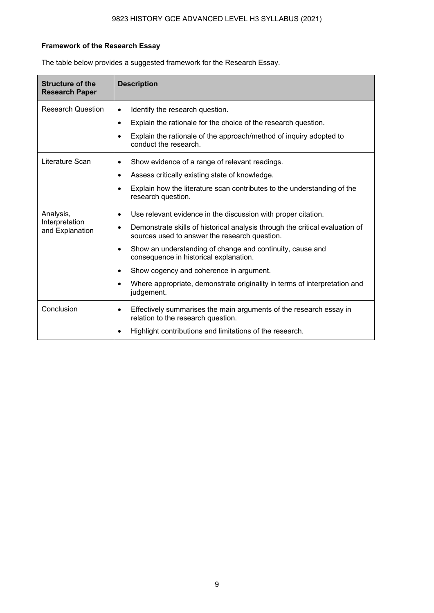## **Framework of the Research Essay**

| <b>Structure of the</b><br><b>Research Paper</b> | <b>Description</b>                                                                                                                         |
|--------------------------------------------------|--------------------------------------------------------------------------------------------------------------------------------------------|
| <b>Research Question</b>                         | Identify the research question.<br>$\bullet$                                                                                               |
|                                                  | Explain the rationale for the choice of the research question.<br>$\bullet$                                                                |
|                                                  | Explain the rationale of the approach/method of inquiry adopted to<br>$\bullet$<br>conduct the research.                                   |
| Literature Scan                                  | Show evidence of a range of relevant readings.<br>$\bullet$                                                                                |
|                                                  | Assess critically existing state of knowledge.<br>$\bullet$                                                                                |
|                                                  | Explain how the literature scan contributes to the understanding of the<br>$\bullet$<br>research question.                                 |
| Analysis,                                        | Use relevant evidence in the discussion with proper citation.                                                                              |
| Interpretation<br>and Explanation                | Demonstrate skills of historical analysis through the critical evaluation of<br>$\bullet$<br>sources used to answer the research question. |
|                                                  | Show an understanding of change and continuity, cause and<br>$\bullet$<br>consequence in historical explanation.                           |
|                                                  | Show cogency and coherence in argument.                                                                                                    |
|                                                  | Where appropriate, demonstrate originality in terms of interpretation and<br>$\bullet$<br>judgement.                                       |
| Conclusion                                       | Effectively summarises the main arguments of the research essay in<br>$\bullet$<br>relation to the research question.                      |
|                                                  | Highlight contributions and limitations of the research.                                                                                   |

The table below provides a suggested framework for the Research Essay.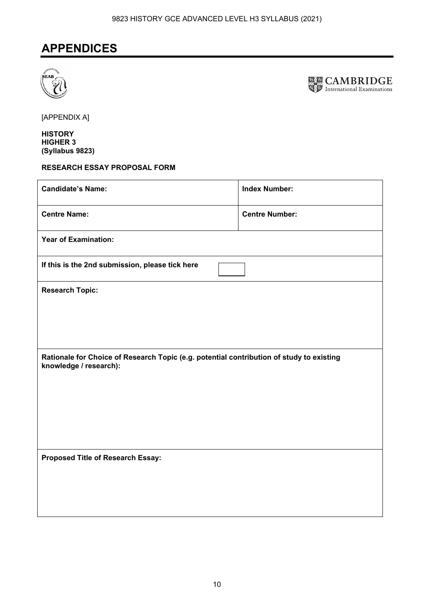## **APPENDICES**





[APPENDIX A]

**HISTORY HIGHER 3 (Syllabus 9823)** 

## **RESEARCH ESSAY PROPOSAL FORM**

| <b>Candidate's Name:</b>                                                                                           | <b>Index Number:</b>  |  |
|--------------------------------------------------------------------------------------------------------------------|-----------------------|--|
| <b>Centre Name:</b>                                                                                                | <b>Centre Number:</b> |  |
| <b>Year of Examination:</b>                                                                                        |                       |  |
| If this is the 2nd submission, please tick here                                                                    |                       |  |
| <b>Research Topic:</b>                                                                                             |                       |  |
|                                                                                                                    |                       |  |
|                                                                                                                    |                       |  |
| Rationale for Choice of Research Topic (e.g. potential contribution of study to existing<br>knowledge / research): |                       |  |
|                                                                                                                    |                       |  |
|                                                                                                                    |                       |  |
|                                                                                                                    |                       |  |
| Proposed Title of Research Essay:                                                                                  |                       |  |
|                                                                                                                    |                       |  |
|                                                                                                                    |                       |  |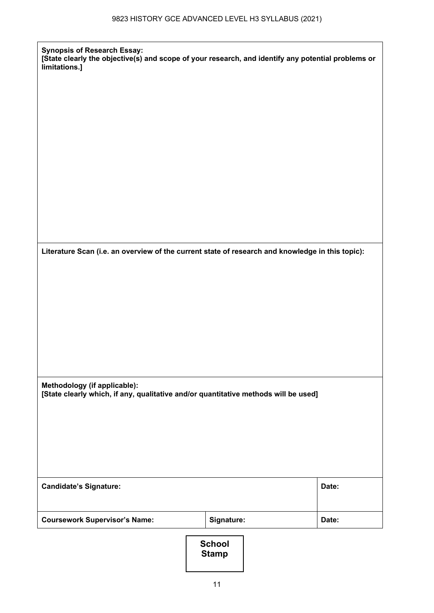**[State clearly the objective(s) and scope of your research, and identify any potential problems or** 

**Synopsis of Research Essay:** 

**limitations.]** 

| Literature Scan (i.e. an overview of the current state of research and knowledge in this topic):                    |                               |       |
|---------------------------------------------------------------------------------------------------------------------|-------------------------------|-------|
|                                                                                                                     |                               |       |
|                                                                                                                     |                               |       |
|                                                                                                                     |                               |       |
|                                                                                                                     |                               |       |
|                                                                                                                     |                               |       |
| Methodology (if applicable):<br>[State clearly which, if any, qualitative and/or quantitative methods will be used] |                               |       |
|                                                                                                                     |                               |       |
|                                                                                                                     |                               |       |
|                                                                                                                     |                               |       |
| <b>Candidate's Signature:</b>                                                                                       |                               | Date: |
| <b>Coursework Supervisor's Name:</b>                                                                                | Signature:                    | Date: |
|                                                                                                                     | <b>School</b><br><b>Stamp</b> |       |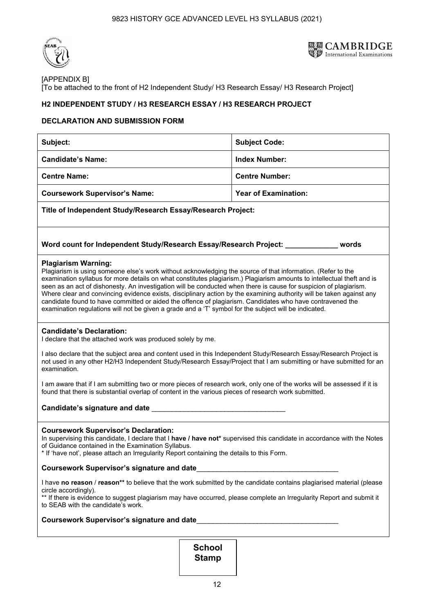



## [APPENDIX B] [To be attached to the front of H2 Independent Study/ H3 Research Essay/ H3 Research Project]

## **H2 INDEPENDENT STUDY / H3 RESEARCH ESSAY / H3 RESEARCH PROJECT**

## **DECLARATION AND SUBMISSION FORM**

| Subject:                                                                                                                                                                                                                                                                                                                                                                                                                                                                                                                                                                                                                                                                                                                               | <b>Subject Code:</b>        |  |
|----------------------------------------------------------------------------------------------------------------------------------------------------------------------------------------------------------------------------------------------------------------------------------------------------------------------------------------------------------------------------------------------------------------------------------------------------------------------------------------------------------------------------------------------------------------------------------------------------------------------------------------------------------------------------------------------------------------------------------------|-----------------------------|--|
| <b>Candidate's Name:</b><br><b>Index Number:</b>                                                                                                                                                                                                                                                                                                                                                                                                                                                                                                                                                                                                                                                                                       |                             |  |
| <b>Centre Name:</b>                                                                                                                                                                                                                                                                                                                                                                                                                                                                                                                                                                                                                                                                                                                    | <b>Centre Number:</b>       |  |
| <b>Coursework Supervisor's Name:</b>                                                                                                                                                                                                                                                                                                                                                                                                                                                                                                                                                                                                                                                                                                   | <b>Year of Examination:</b> |  |
| Title of Independent Study/Research Essay/Research Project:                                                                                                                                                                                                                                                                                                                                                                                                                                                                                                                                                                                                                                                                            |                             |  |
| Word count for Independent Study/Research Essay/Research Project: _____________                                                                                                                                                                                                                                                                                                                                                                                                                                                                                                                                                                                                                                                        | words                       |  |
| <b>Plagiarism Warning:</b><br>Plagiarism is using someone else's work without acknowledging the source of that information. (Refer to the<br>examination syllabus for more details on what constitutes plagiarism.) Plagiarism amounts to intellectual theft and is<br>seen as an act of dishonesty. An investigation will be conducted when there is cause for suspicion of plagiarism.<br>Where clear and convincing evidence exists, disciplinary action by the examining authority will be taken against any<br>candidate found to have committed or aided the offence of plagiarism. Candidates who have contravened the<br>examination regulations will not be given a grade and a 'T' symbol for the subject will be indicated. |                             |  |
| <b>Candidate's Declaration:</b><br>I declare that the attached work was produced solely by me.                                                                                                                                                                                                                                                                                                                                                                                                                                                                                                                                                                                                                                         |                             |  |
| I also declare that the subject area and content used in this Independent Study/Research Essay/Research Project is<br>not used in any other H2/H3 Independent Study/Research Essay/Project that I am submitting or have submitted for an<br>examination.                                                                                                                                                                                                                                                                                                                                                                                                                                                                               |                             |  |
| I am aware that if I am submitting two or more pieces of research work, only one of the works will be assessed if it is<br>found that there is substantial overlap of content in the various pieces of research work submitted.                                                                                                                                                                                                                                                                                                                                                                                                                                                                                                        |                             |  |
| Candidate's signature and date ________                                                                                                                                                                                                                                                                                                                                                                                                                                                                                                                                                                                                                                                                                                |                             |  |
| <b>Coursework Supervisor's Declaration:</b><br>In supervising this candidate, I declare that I have / have not* supervised this candidate in accordance with the Notes<br>of Guidance contained in the Examination Syllabus.<br>* If 'have not', please attach an Irregularity Report containing the details to this Form.                                                                                                                                                                                                                                                                                                                                                                                                             |                             |  |
| <b>Coursework Supervisor's signature and date</b>                                                                                                                                                                                                                                                                                                                                                                                                                                                                                                                                                                                                                                                                                      |                             |  |
| I have no reason / reason** to believe that the work submitted by the candidate contains plagiarised material (please<br>circle accordingly).<br>** If there is evidence to suggest plagiarism may have occurred, please complete an Irregularity Report and submit it<br>to SEAB with the candidate's work.                                                                                                                                                                                                                                                                                                                                                                                                                           |                             |  |
|                                                                                                                                                                                                                                                                                                                                                                                                                                                                                                                                                                                                                                                                                                                                        |                             |  |

**School Stamp**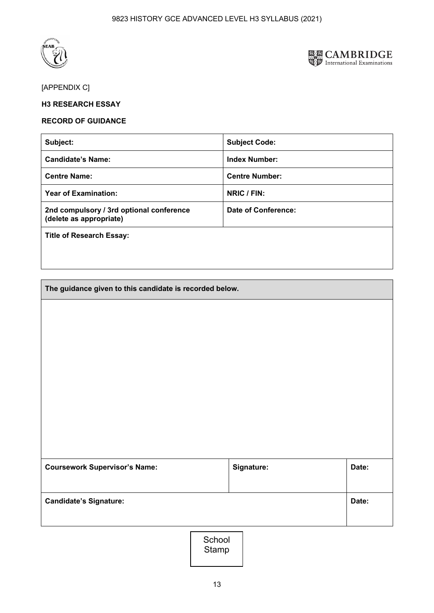



## [APPENDIX C]

## **H3 RESEARCH ESSAY**

### **RECORD OF GUIDANCE**

| Subject:                                                            | <b>Subject Code:</b>  |
|---------------------------------------------------------------------|-----------------------|
| <b>Candidate's Name:</b>                                            | <b>Index Number:</b>  |
| <b>Centre Name:</b>                                                 | <b>Centre Number:</b> |
| <b>Year of Examination:</b>                                         | NRIC / FIN:           |
| 2nd compulsory / 3rd optional conference<br>(delete as appropriate) | Date of Conference:   |
| <b>Title of Research Essay:</b>                                     |                       |
|                                                                     |                       |

| The guidance given to this candidate is recorded below. |            |       |
|---------------------------------------------------------|------------|-------|
|                                                         |            |       |
|                                                         |            |       |
|                                                         |            |       |
|                                                         |            |       |
|                                                         |            |       |
|                                                         |            |       |
|                                                         |            |       |
|                                                         |            |       |
| <b>Coursework Supervisor's Name:</b>                    | Signature: | Date: |
|                                                         |            |       |
| <b>Candidate's Signature:</b>                           |            | Date: |
|                                                         |            |       |

School Stamp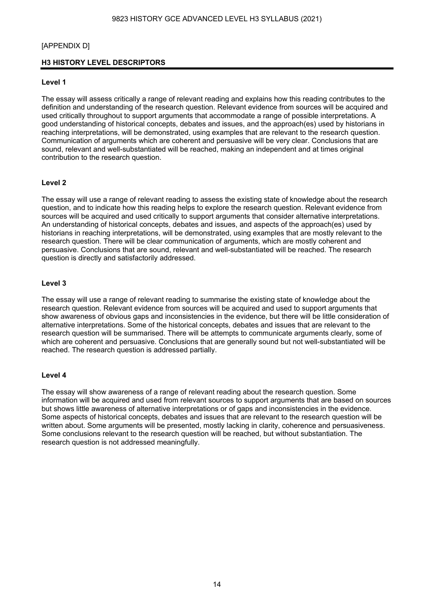### [APPENDIX D]

### **H3 HISTORY LEVEL DESCRIPTORS**

### **Level 1**

The essay will assess critically a range of relevant reading and explains how this reading contributes to the definition and understanding of the research question. Relevant evidence from sources will be acquired and used critically throughout to support arguments that accommodate a range of possible interpretations. A good understanding of historical concepts, debates and issues, and the approach(es) used by historians in reaching interpretations, will be demonstrated, using examples that are relevant to the research question. Communication of arguments which are coherent and persuasive will be very clear. Conclusions that are sound, relevant and well-substantiated will be reached, making an independent and at times original contribution to the research question.

### **Level 2**

The essay will use a range of relevant reading to assess the existing state of knowledge about the research question, and to indicate how this reading helps to explore the research question. Relevant evidence from sources will be acquired and used critically to support arguments that consider alternative interpretations. An understanding of historical concepts, debates and issues, and aspects of the approach(es) used by historians in reaching interpretations, will be demonstrated, using examples that are mostly relevant to the research question. There will be clear communication of arguments, which are mostly coherent and persuasive. Conclusions that are sound, relevant and well-substantiated will be reached. The research question is directly and satisfactorily addressed.

#### **Level 3**

The essay will use a range of relevant reading to summarise the existing state of knowledge about the research question. Relevant evidence from sources will be acquired and used to support arguments that show awareness of obvious gaps and inconsistencies in the evidence, but there will be little consideration of alternative interpretations. Some of the historical concepts, debates and issues that are relevant to the research question will be summarised. There will be attempts to communicate arguments clearly, some of which are coherent and persuasive. Conclusions that are generally sound but not well-substantiated will be reached. The research question is addressed partially.

#### **Level 4**

The essay will show awareness of a range of relevant reading about the research question. Some information will be acquired and used from relevant sources to support arguments that are based on sources but shows little awareness of alternative interpretations or of gaps and inconsistencies in the evidence. Some aspects of historical concepts, debates and issues that are relevant to the research question will be written about. Some arguments will be presented, mostly lacking in clarity, coherence and persuasiveness. Some conclusions relevant to the research question will be reached, but without substantiation. The research question is not addressed meaningfully.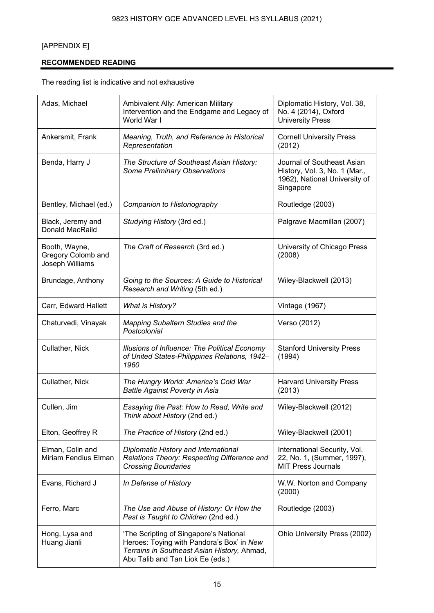## [APPENDIX E]

## **RECOMMENDED READING**

The reading list is indicative and not exhaustive

| Adas, Michael                                          | Ambivalent Ally: American Military<br>Intervention and the Endgame and Legacy of<br>World War I                                                                        | Diplomatic History, Vol. 38,<br>No. 4 (2014), Oxford<br><b>University Press</b>                           |
|--------------------------------------------------------|------------------------------------------------------------------------------------------------------------------------------------------------------------------------|-----------------------------------------------------------------------------------------------------------|
| Ankersmit, Frank                                       | Meaning, Truth, and Reference in Historical<br>Representation                                                                                                          | <b>Cornell University Press</b><br>(2012)                                                                 |
| Benda, Harry J                                         | The Structure of Southeast Asian History:<br>Some Preliminary Observations                                                                                             | Journal of Southeast Asian<br>History, Vol. 3, No. 1 (Mar.,<br>1962), National University of<br>Singapore |
| Bentley, Michael (ed.)                                 | Companion to Historiography                                                                                                                                            | Routledge (2003)                                                                                          |
| Black, Jeremy and<br>Donald MacRaild                   | Studying History (3rd ed.)                                                                                                                                             | Palgrave Macmillan (2007)                                                                                 |
| Booth, Wayne,<br>Gregory Colomb and<br>Joseph Williams | The Craft of Research (3rd ed.)                                                                                                                                        | University of Chicago Press<br>(2008)                                                                     |
| Brundage, Anthony                                      | Going to the Sources: A Guide to Historical<br>Research and Writing (5th ed.)                                                                                          | Wiley-Blackwell (2013)                                                                                    |
| Carr, Edward Hallett                                   | <b>What is History?</b>                                                                                                                                                | <b>Vintage (1967)</b>                                                                                     |
| Chaturvedi, Vinayak                                    | <b>Mapping Subaltern Studies and the</b><br>Postcolonial                                                                                                               | Verso (2012)                                                                                              |
| Cullather, Nick                                        | Illusions of Influence: The Political Economy<br>of United States-Philippines Relations, 1942-<br>1960                                                                 | <b>Stanford University Press</b><br>(1994)                                                                |
| Cullather, Nick                                        | The Hungry World: America's Cold War<br><b>Battle Against Poverty in Asia</b>                                                                                          | <b>Harvard University Press</b><br>(2013)                                                                 |
| Cullen, Jim                                            | Essaying the Past: How to Read, Write and<br>Think about History (2nd ed.)                                                                                             | Wiley-Blackwell (2012)                                                                                    |
| Elton, Geoffrey R                                      | The Practice of History (2nd ed.)                                                                                                                                      | Wiley-Blackwell (2001)                                                                                    |
| Elman, Colin and<br>Miriam Fendius Elman               | Diplomatic History and International<br>Relations Theory: Respecting Difference and<br><b>Crossing Boundaries</b>                                                      | International Security, Vol.<br>22, No. 1, (Summer, 1997),<br><b>MIT Press Journals</b>                   |
| Evans, Richard J                                       | In Defense of History                                                                                                                                                  | W.W. Norton and Company<br>(2000)                                                                         |
| Ferro, Marc                                            | The Use and Abuse of History: Or How the<br>Past is Taught to Children (2nd ed.)                                                                                       | Routledge (2003)                                                                                          |
| Hong, Lysa and<br>Huang Jianli                         | 'The Scripting of Singapore's National<br>Heroes: Toying with Pandora's Box' in New<br>Terrains in Southeast Asian History, Ahmad,<br>Abu Talib and Tan Liok Ee (eds.) | Ohio University Press (2002)                                                                              |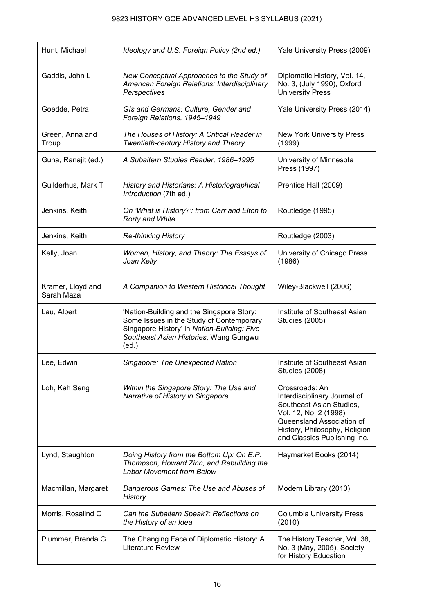| Hunt, Michael                   | Ideology and U.S. Foreign Policy (2nd ed.)                                                                                                                                              | Yale University Press (2009)                                                                                                                                                                       |
|---------------------------------|-----------------------------------------------------------------------------------------------------------------------------------------------------------------------------------------|----------------------------------------------------------------------------------------------------------------------------------------------------------------------------------------------------|
| Gaddis, John L                  | New Conceptual Approaches to the Study of<br>American Foreign Relations: Interdisciplinary<br>Perspectives                                                                              | Diplomatic History, Vol. 14,<br>No. 3, (July 1990), Oxford<br><b>University Press</b>                                                                                                              |
| Goedde, Petra                   | GIs and Germans: Culture, Gender and<br>Foreign Relations, 1945-1949                                                                                                                    | Yale University Press (2014)                                                                                                                                                                       |
| Green, Anna and<br>Troup        | The Houses of History: A Critical Reader in<br>Twentieth-century History and Theory                                                                                                     | <b>New York University Press</b><br>(1999)                                                                                                                                                         |
| Guha, Ranajit (ed.)             | A Subaltern Studies Reader, 1986-1995                                                                                                                                                   | University of Minnesota<br>Press (1997)                                                                                                                                                            |
| Guilderhus, Mark T              | History and Historians: A Historiographical<br>Introduction (7th ed.)                                                                                                                   | Prentice Hall (2009)                                                                                                                                                                               |
| Jenkins, Keith                  | On 'What is History?': from Carr and Elton to<br>Rorty and White                                                                                                                        | Routledge (1995)                                                                                                                                                                                   |
| Jenkins, Keith                  | <b>Re-thinking History</b>                                                                                                                                                              | Routledge (2003)                                                                                                                                                                                   |
| Kelly, Joan                     | Women, History, and Theory: The Essays of<br>Joan Kelly                                                                                                                                 | University of Chicago Press<br>(1986)                                                                                                                                                              |
| Kramer, Lloyd and<br>Sarah Maza | A Companion to Western Historical Thought                                                                                                                                               | Wiley-Blackwell (2006)                                                                                                                                                                             |
| Lau, Albert                     | 'Nation-Building and the Singapore Story:<br>Some Issues in the Study of Contemporary<br>Singapore History' in Nation-Building: Five<br>Southeast Asian Histories, Wang Gungwu<br>(ed.) | Institute of Southeast Asian<br><b>Studies (2005)</b>                                                                                                                                              |
| Lee, Edwin                      | Singapore: The Unexpected Nation                                                                                                                                                        | Institute of Southeast Asian<br><b>Studies (2008)</b>                                                                                                                                              |
| Loh, Kah Seng                   | Within the Singapore Story: The Use and<br>Narrative of History in Singapore                                                                                                            | Crossroads: An<br>Interdisciplinary Journal of<br>Southeast Asian Studies,<br>Vol. 12, No. 2 (1998),<br>Queensland Association of<br>History, Philosophy, Religion<br>and Classics Publishing Inc. |
| Lynd, Staughton                 | Doing History from the Bottom Up: On E.P.<br>Thompson, Howard Zinn, and Rebuilding the<br><b>Labor Movement from Below</b>                                                              | Haymarket Books (2014)                                                                                                                                                                             |
| Macmillan, Margaret             | Dangerous Games: The Use and Abuses of<br>History                                                                                                                                       | Modern Library (2010)                                                                                                                                                                              |
| Morris, Rosalind C              | Can the Subaltern Speak?: Reflections on<br>the History of an Idea                                                                                                                      | <b>Columbia University Press</b><br>(2010)                                                                                                                                                         |
| Plummer, Brenda G               | The Changing Face of Diplomatic History: A<br>Literature Review                                                                                                                         | The History Teacher, Vol. 38,<br>No. 3 (May, 2005), Society<br>for History Education                                                                                                               |